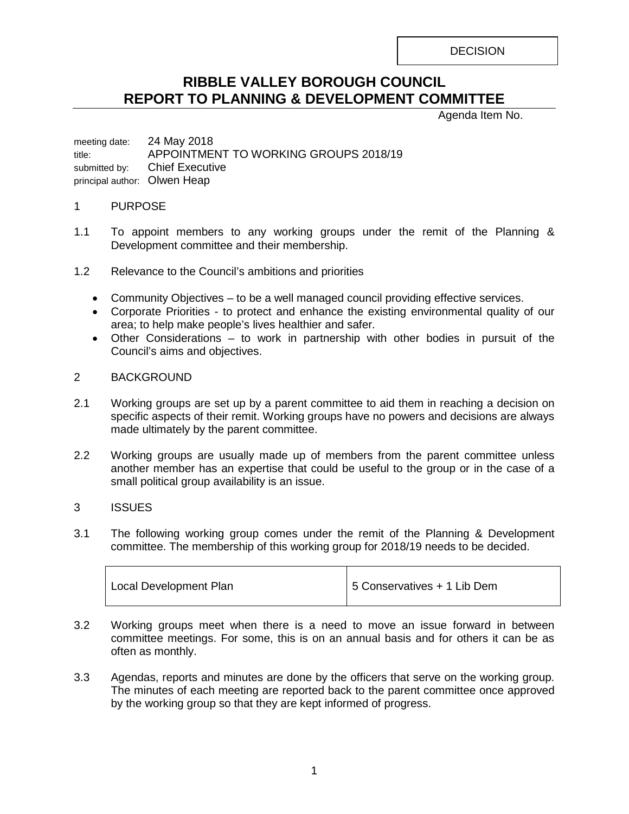**DECISION** 

# **RIBBLE VALLEY BOROUGH COUNCIL REPORT TO PLANNING & DEVELOPMENT COMMITTEE**

Agenda Item No.

meeting date: 24 May 2018 title: APPOINTMENT TO WORKING GROUPS 2018/19 submitted by: Chief Executive principal author: Olwen Heap

## 1 PURPOSE

- 1.1 To appoint members to any working groups under the remit of the Planning & Development committee and their membership.
- 1.2 Relevance to the Council's ambitions and priorities
	- Community Objectives to be a well managed council providing effective services.
	- Corporate Priorities to protect and enhance the existing environmental quality of our area; to help make people's lives healthier and safer.
	- Other Considerations to work in partnership with other bodies in pursuit of the Council's aims and objectives.

## 2 BACKGROUND

- 2.1 Working groups are set up by a parent committee to aid them in reaching a decision on specific aspects of their remit. Working groups have no powers and decisions are always made ultimately by the parent committee.
- 2.2 Working groups are usually made up of members from the parent committee unless another member has an expertise that could be useful to the group or in the case of a small political group availability is an issue.

# 3 ISSUES

3.1 The following working group comes under the remit of the Planning & Development committee. The membership of this working group for 2018/19 needs to be decided.

| Local Development Plan | 5 Conservatives + 1 Lib Dem |
|------------------------|-----------------------------|
|                        |                             |

- 3.2 Working groups meet when there is a need to move an issue forward in between committee meetings. For some, this is on an annual basis and for others it can be as often as monthly.
- 3.3 Agendas, reports and minutes are done by the officers that serve on the working group. The minutes of each meeting are reported back to the parent committee once approved by the working group so that they are kept informed of progress.